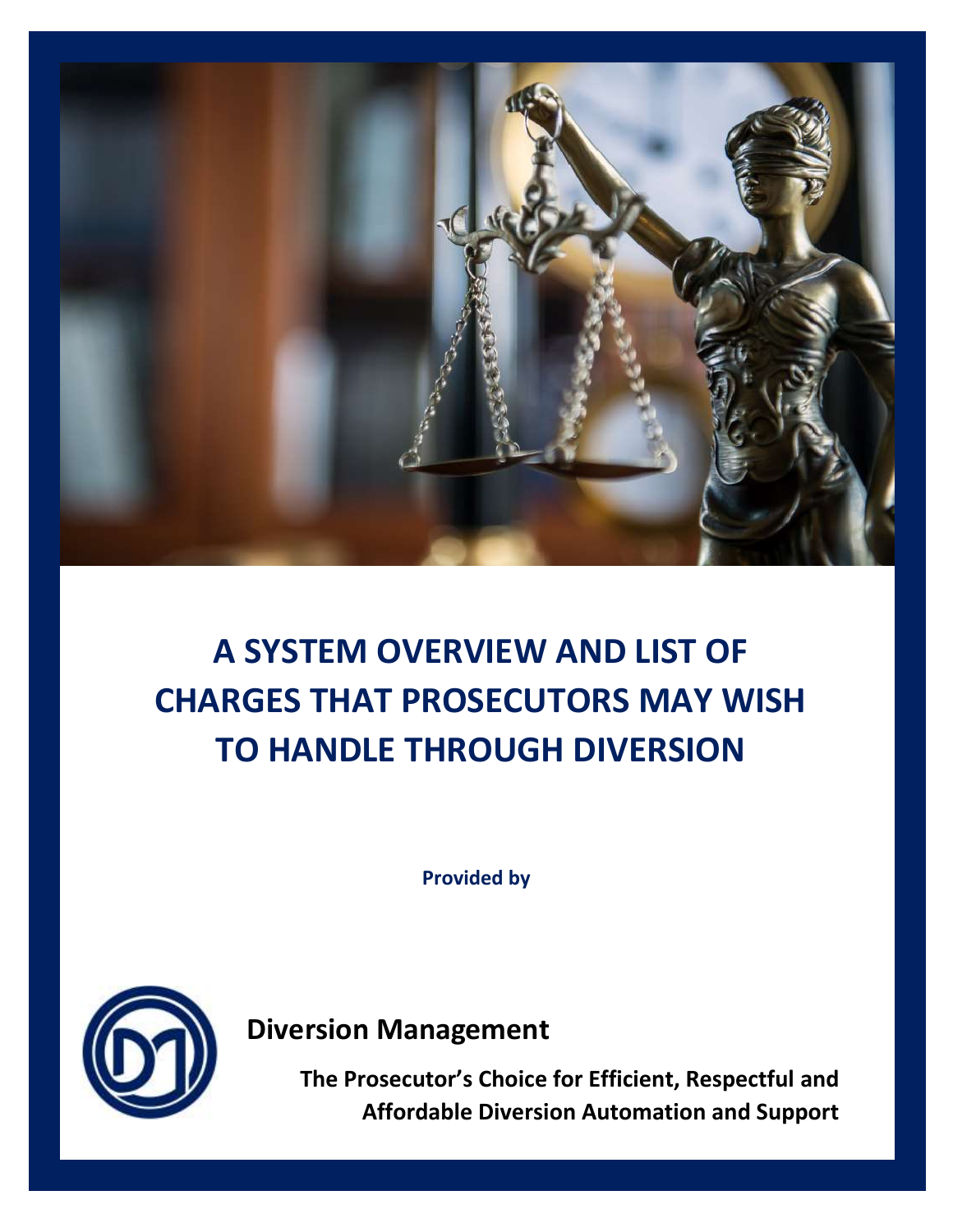

# **A SYSTEM OVERVIEW AND LIST OF CHARGES THAT PROSECUTORS MAY WISH TO HANDLE THROUGH DIVERSION**

**Provided by**



**Diversion Management** 

**The Prosecutor's Choice for Efficient, Respectful and Affordable Diversion Automation and Support**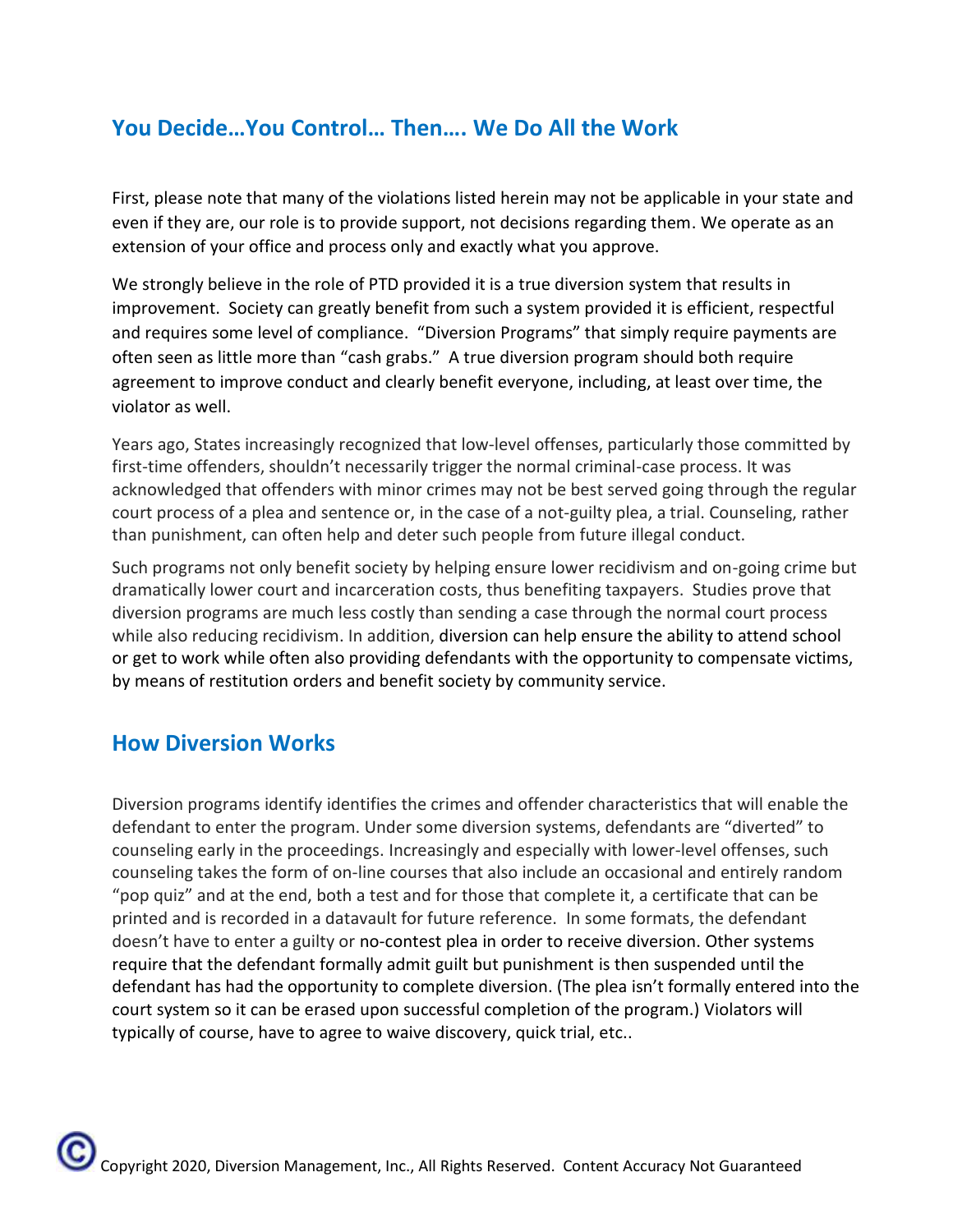# **You Decide…You Control… Then…. We Do All the Work**

First, please note that many of the violations listed herein may not be applicable in your state and even if they are, our role is to provide support, not decisions regarding them. We operate as an extension of your office and process only and exactly what you approve.

We strongly believe in the role of PTD provided it is a true diversion system that results in improvement. Society can greatly benefit from such a system provided it is efficient, respectful and requires some level of compliance. "Diversion Programs" that simply require payments are often seen as little more than "cash grabs." A true diversion program should both require agreement to improve conduct and clearly benefit everyone, including, at least over time, the violator as well.

Years ago, States increasingly recognized that low-level offenses, particularly those committed by first-time offenders, shouldn't necessarily trigger the normal criminal-case process. It was acknowledged that offenders with minor crimes may not be best served going through the regular court process of a plea and sentence or, in the case of a not-guilty plea, a trial. Counseling, rather than punishment, can often help and deter such people from future illegal conduct.

Such programs not only benefit society by helping ensure lower recidivism and on-going crime but dramatically lower court and incarceration costs, thus benefiting taxpayers. Studies prove that diversion programs are much less costly than sending a case through the normal court process while also reducing recidivism. In addition, diversion can help ensure the ability to attend school or get to work while often also providing defendants with the opportunity to compensate victims, by means of [restitution orders](https://www.nolo.com/legal-encyclopedia/restitution-law-victims-crime.html) and benefit society by [community service.](https://www.nolo.com/legal-encyclopedia/what-kind-community-service-can-judge-order.html)

# **How Diversion Works**

Diversion programs identify identifies the crimes and offender characteristics that will enable the defendant to enter the program. Under some diversion systems, defendants are "diverted" to counseling early in the proceedings. Increasingly and especially with lower-level offenses, such counseling takes the form of on-line courses that also include an occasional and entirely random "pop quiz" and at the end, both a test and for those that complete it, a certificate that can be printed and is recorded in a datavault for future reference. In some formats, the defendant doesn't have to enter a guilty or [no-contest plea](https://www.nolo.com/legal-encyclopedia/what-pleading-guilty-contest.html) in order to receive diversion. Other systems require that the defendant formally admit guilt but punishment is then suspended until the defendant has had the opportunity to complete diversion. (The plea isn't formally entered into the court system so it can be erased upon successful completion of the program.) Violators will typically of course, have to agree to waive discovery, quick trial, etc..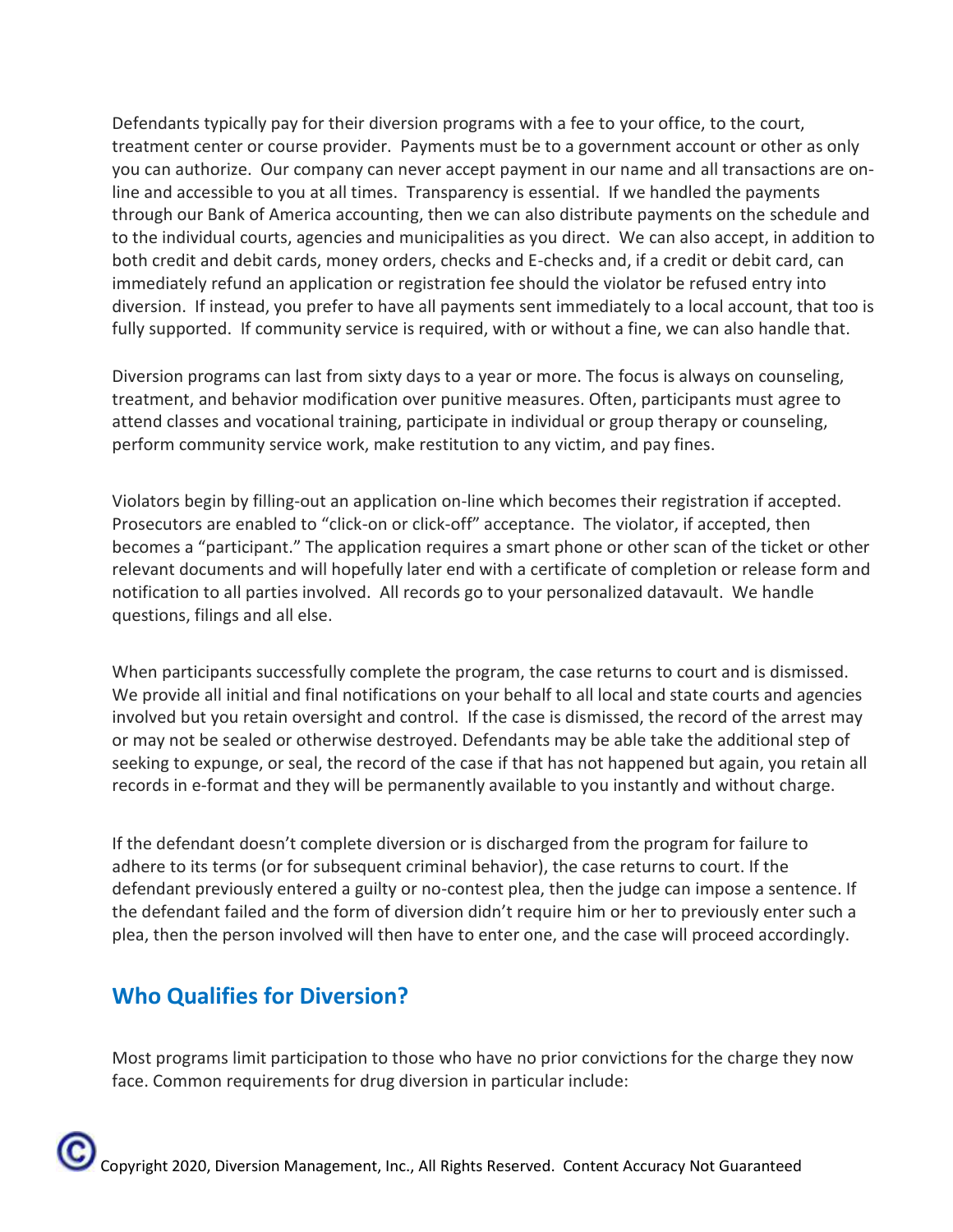Defendants typically pay for their diversion programs with a fee to your office, to the court, treatment center or course provider. Payments must be to a government account or other as only you can authorize. Our company can never accept payment in our name and all transactions are online and accessible to you at all times. Transparency is essential. If we handled the payments through our Bank of America accounting, then we can also distribute payments on the schedule and to the individual courts, agencies and municipalities as you direct. We can also accept, in addition to both credit and debit cards, money orders, checks and E-checks and, if a credit or debit card, can immediately refund an application or registration fee should the violator be refused entry into diversion. If instead, you prefer to have all payments sent immediately to a local account, that too is fully supported. If community service is required, with or without a fine, we can also handle that.

Diversion programs can last from sixty days to a year or more. The focus is always on counseling, treatment, and behavior modification over punitive measures. Often, participants must agree to attend classes and vocational training, participate in individual or group therapy or counseling, perform community service work, make restitution to any victim, and pay fines.

Violators begin by filling-out an application on-line which becomes their registration if accepted. Prosecutors are enabled to "click-on or click-off" acceptance. The violator, if accepted, then becomes a "participant." The application requires a smart phone or other scan of the ticket or other relevant documents and will hopefully later end with a certificate of completion or release form and notification to all parties involved. All records go to your personalized datavault. We handle questions, filings and all else.

When participants successfully complete the program, the case returns to court and is dismissed. We provide all initial and final notifications on your behalf to all local and state courts and agencies involved but you retain oversight and control. If the case is dismissed, the record of the arrest may or may not be sealed or otherwise destroyed. Defendants may be able take the additional step of seeking to expunge, or seal, the record of the case if that has not happened but again, you retain all records in e-format and they will be permanently available to you instantly and without charge.

If the defendant doesn't complete diversion or is discharged from the program for failure to adhere to its terms (or for subsequent criminal behavior), the case returns to court. If the defendant previously entered a guilty or no-contest plea, then the judge can impose a sentence. If the defendant failed and the form of diversion didn't require him or her to previously enter such a plea, then the person involved will then have to enter one, and the case will proceed accordingly.

# **Who Qualifies for Diversion?**

Most programs limit participation to those who have no prior convictions for the charge they now face. Common requirements for drug diversion in particular include: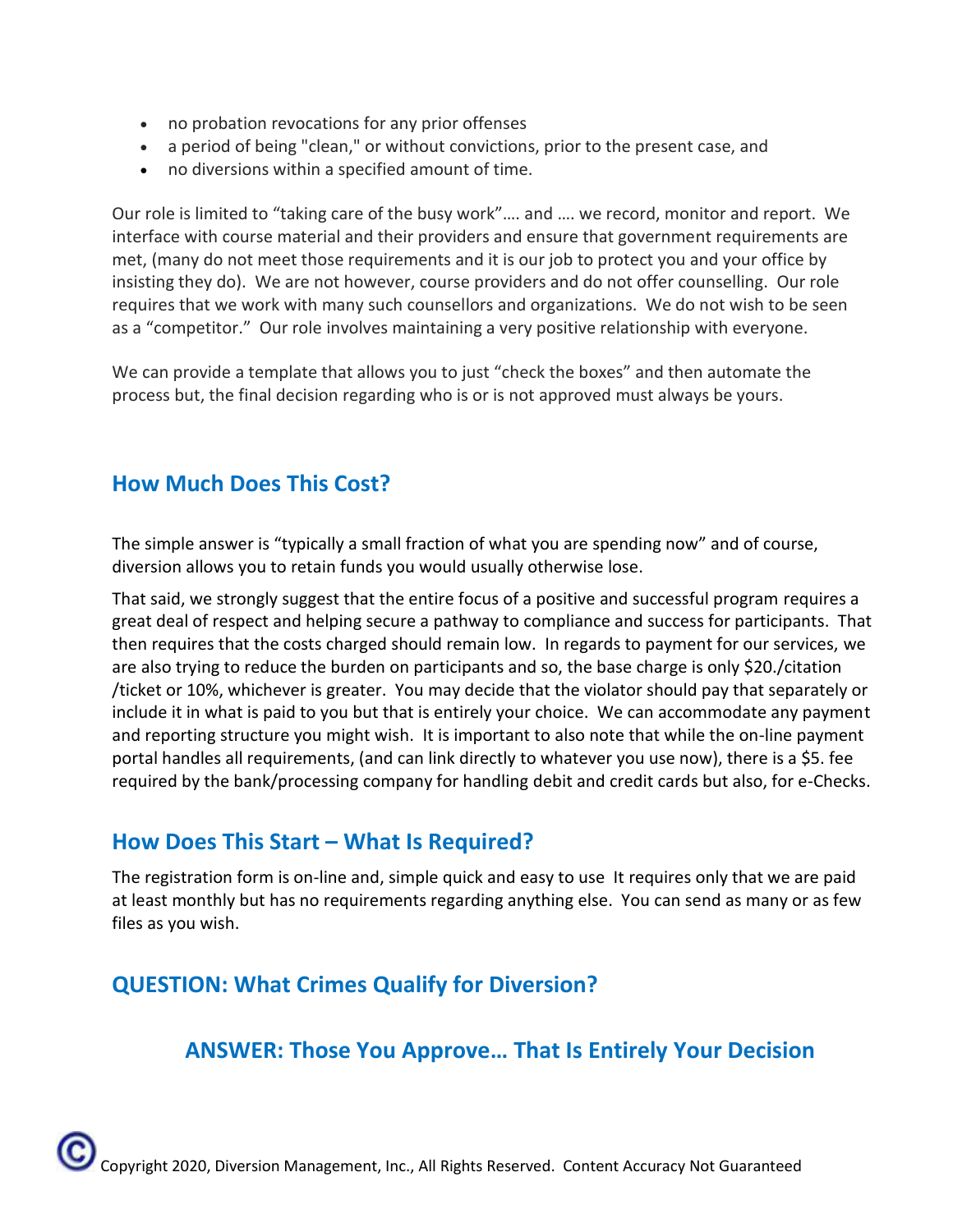- no probation revocations for any prior offenses
- a period of being "clean," or without convictions, prior to the present case, and
- no diversions within a specified amount of time.

Our role is limited to "taking care of the busy work"…. and …. we record, monitor and report. We interface with course material and their providers and ensure that government requirements are met, (many do not meet those requirements and it is our job to protect you and your office by insisting they do). We are not however, course providers and do not offer counselling. Our role requires that we work with many such counsellors and organizations. We do not wish to be seen as a "competitor." Our role involves maintaining a very positive relationship with everyone.

We can provide a template that allows you to just "check the boxes" and then automate the process but, the final decision regarding who is or is not approved must always be yours.

#### **How Much Does This Cost?**

The simple answer is "typically a small fraction of what you are spending now" and of course, diversion allows you to retain funds you would usually otherwise lose.

That said, we strongly suggest that the entire focus of a positive and successful program requires a great deal of respect and helping secure a pathway to compliance and success for participants. That then requires that the costs charged should remain low. In regards to payment for our services, we are also trying to reduce the burden on participants and so, the base charge is only \$20./citation /ticket or 10%, whichever is greater. You may decide that the violator should pay that separately or include it in what is paid to you but that is entirely your choice. We can accommodate any payment and reporting structure you might wish. It is important to also note that while the on-line payment portal handles all requirements, (and can link directly to whatever you use now), there is a \$5. fee required by the bank/processing company for handling debit and credit cards but also, for e-Checks.

#### **How Does This Start – What Is Required?**

The registration form is on-line and, simple quick and easy to use It requires only that we are paid at least monthly but has no requirements regarding anything else. You can send as many or as few files as you wish.

# **QUESTION: What Crimes Qualify for Diversion?**

# **ANSWER: Those You Approve… That Is Entirely Your Decision**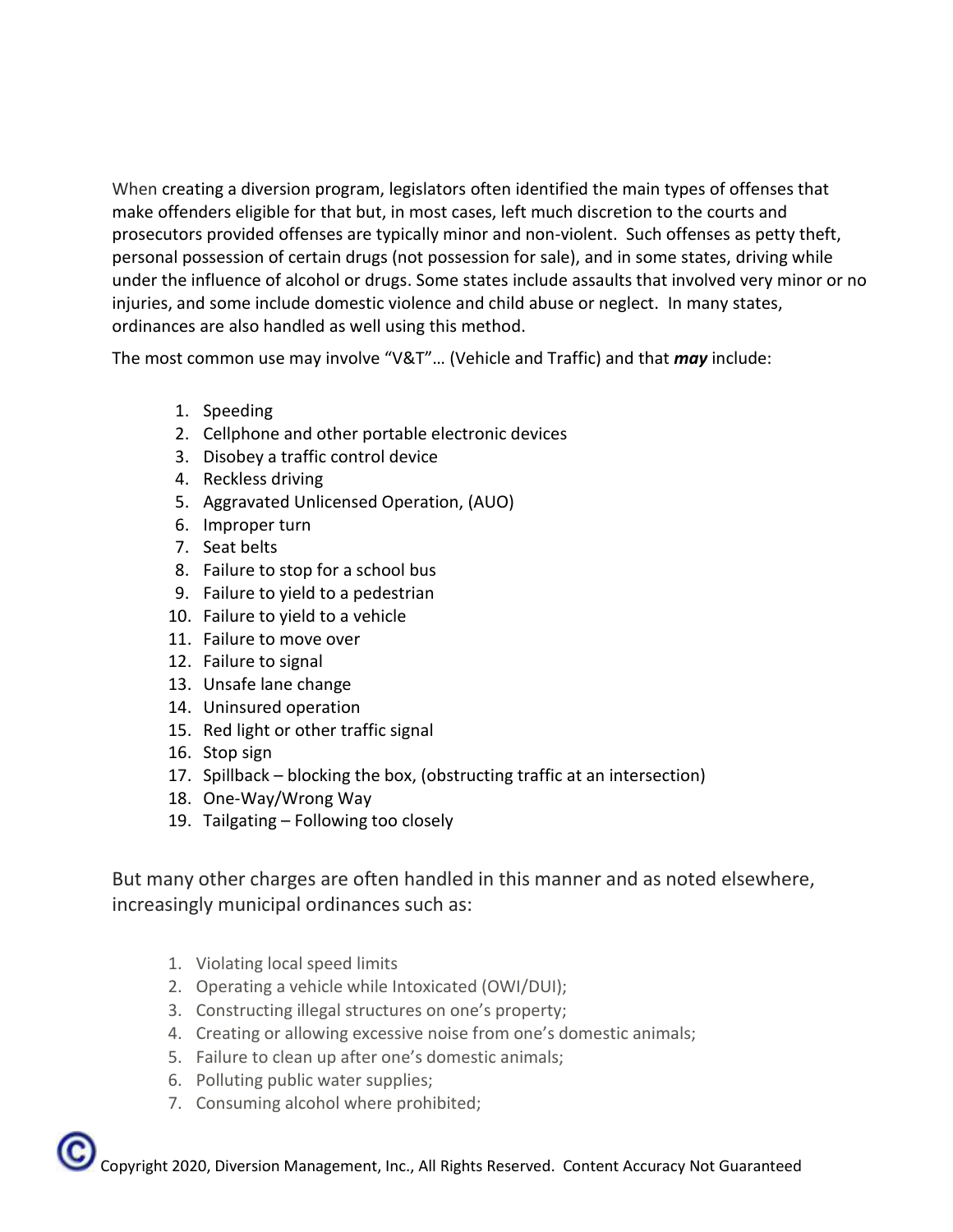When creating a diversion program, legislators often identified the main types of offenses that make offenders eligible for that but, in most cases, left much discretion to the courts and prosecutors provided offenses are typically minor and non-violent. Such offenses as petty theft, personal possession of certain drugs (not possession for sale), and in some states, [driving while](https://www.nolo.com/legal-encyclopedia/dui-or-dwi-punishments-penalties-30321.html)  [under the influence of alcohol or drugs.](https://www.nolo.com/legal-encyclopedia/dui-or-dwi-punishments-penalties-30321.html) Some states include assaults that involved very minor or no injuries, and some include [domestic violence](https://www.nolo.com/legal-encyclopedia/domestic-violence-33813.html) and child abuse or neglect. In many states, ordinances are also handled as well using this method.

The most common use may involve "V&T"… (Vehicle and Traffic) and that *may* include:

- 1. Speeding
- 2. Cellphone and other portable electronic devices
- 3. Disobey a traffic control device
- 4. Reckless driving
- 5. Aggravated Unlicensed Operation, (AUO)
- 6. Improper turn
- 7. Seat belts
- 8. Failure to stop for a school bus
- 9. Failure to yield to a pedestrian
- 10. Failure to yield to a vehicle
- 11. Failure to move over
- 12. Failure to signal
- 13. Unsafe lane change
- 14. Uninsured operation
- 15. Red light or other traffic signal
- 16. Stop sign
- 17. Spillback blocking the box, (obstructing traffic at an intersection)
- 18. One-Way/Wrong Way
- 19. Tailgating Following too closely

But many other charges are often handled in this manner and as noted elsewhere, increasingly municipal ordinances such as:

- 1. Violating local speed limits
- 2. Operating a vehicle while Intoxicated (OWI/DUI);
- 3. Constructing illegal structures on one's property;
- 4. Creating or allowing excessive noise from one's domestic animals;
- 5. Failure to clean up after one's domestic animals;
- 6. Polluting public water supplies;
- 7. Consuming alcohol where prohibited;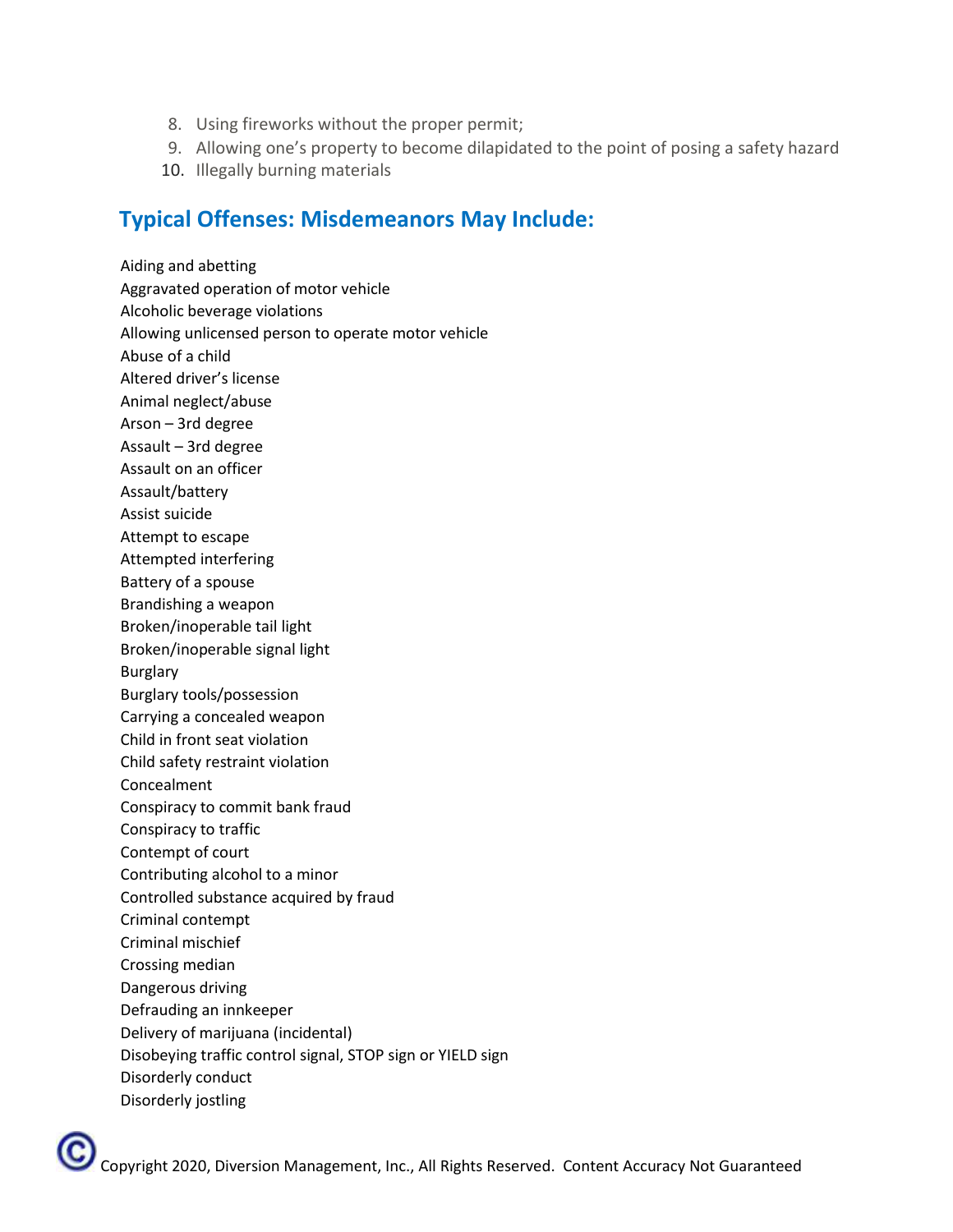- 8. Using fireworks without the proper permit;
- 9. Allowing one's property to become dilapidated to the point of posing a safety hazard
- 10. Illegally burning materials

# **Typical Offenses: Misdemeanors May Include:**

Aiding and abetting Aggravated operation of motor vehicle Alcoholic beverage violations Allowing unlicensed person to operate motor vehicle Abuse of a child Altered driver's license Animal neglect/abuse Arson – 3rd degree Assault – 3rd degree Assault on an officer Assault/battery Assist suicide Attempt to escape Attempted interfering Battery of a spouse Brandishing a weapon Broken/inoperable tail light Broken/inoperable signal light Burglary Burglary tools/possession Carrying a concealed weapon Child in front seat violation Child safety restraint violation Concealment Conspiracy to commit bank fraud Conspiracy to traffic Contempt of court Contributing alcohol to a minor Controlled substance acquired by fraud Criminal contempt Criminal mischief Crossing median Dangerous driving Defrauding an innkeeper Delivery of marijuana (incidental) Disobeying traffic control signal, STOP sign or YIELD sign Disorderly conduct Disorderly jostling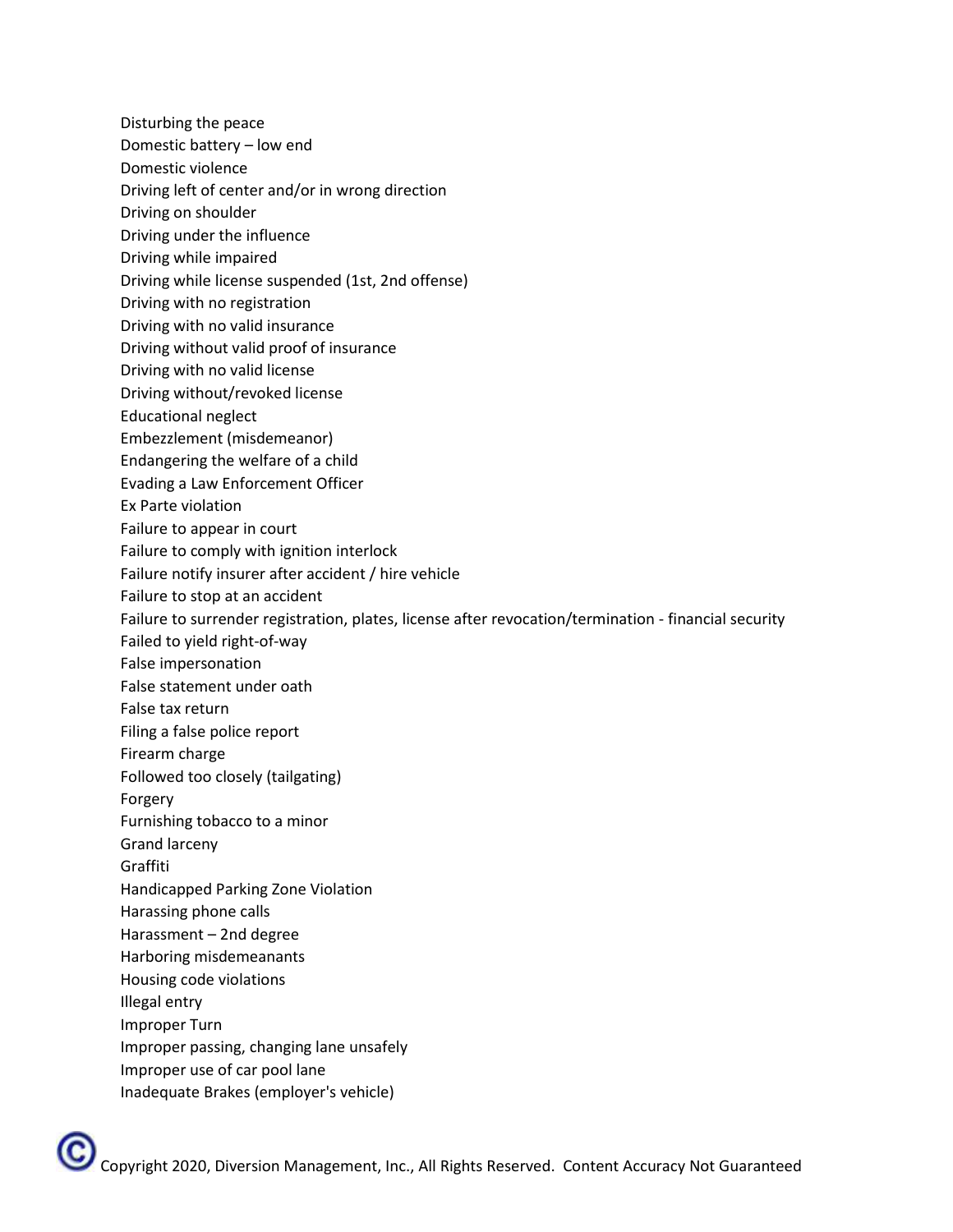Disturbing the peace

- Domestic battery low end
- Domestic violence
- Driving left of center and/or in wrong direction
- Driving on shoulder
- Driving under the influence
- Driving while impaired
- Driving while license suspended (1st, 2nd offense)
- Driving with no registration
- Driving with no valid insurance
- Driving without valid proof of insurance
- Driving with no valid license
- Driving without/revoked license
- Educational neglect
- Embezzlement (misdemeanor)
- Endangering the welfare of a child
- Evading a Law Enforcement Officer
- Ex Parte violation
- Failure to appear in court
- Failure to comply with ignition interlock
- Failure notify insurer after accident / hire vehicle
- Failure to stop at an accident
- Failure to surrender registration, plates, license after revocation/termination financial security
- Failed to yield right-of-way
- False impersonation
- False statement under oath
- False tax return
- Filing a false police report
- Firearm charge
- Followed too closely (tailgating)
- Forgery
- Furnishing tobacco to a minor
- Grand larceny
- Graffiti
- Handicapped Parking Zone Violation
- Harassing phone calls
- Harassment 2nd degree
- Harboring misdemeanants
- Housing code violations
- Illegal entry
- Improper Turn
- Improper passing, changing lane unsafely
- Improper use of car pool lane
- Inadequate Brakes (employer's vehicle)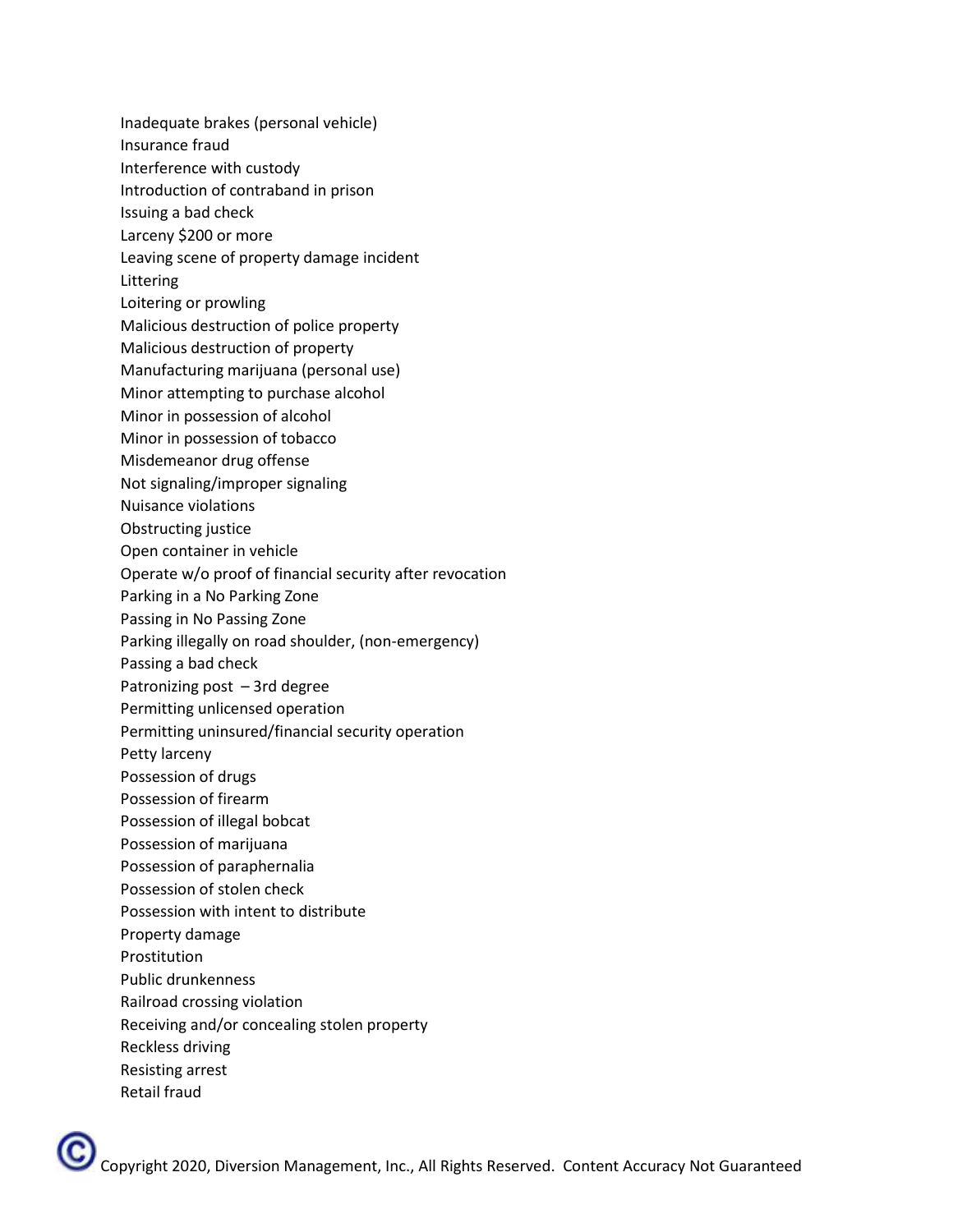- Inadequate brakes (personal vehicle)
- Insurance fraud
- Interference with custody
- Introduction of contraband in prison
- Issuing a bad check
- Larceny \$200 or more
- Leaving scene of property damage incident
- Littering
- Loitering or prowling
- Malicious destruction of police property
- Malicious destruction of property
- Manufacturing marijuana (personal use)
- Minor attempting to purchase alcohol
- Minor in possession of alcohol
- Minor in possession of tobacco
- Misdemeanor drug offense
- Not signaling/improper signaling
- Nuisance violations
- Obstructing justice
- Open container in vehicle
- Operate w/o proof of financial security after revocation
- Parking in a No Parking Zone
- Passing in No Passing Zone
- Parking illegally on road shoulder, (non-emergency)
- Passing a bad check
- Patronizing post 3rd degree
- Permitting unlicensed operation
- Permitting uninsured/financial security operation
- Petty larceny
- Possession of drugs
- Possession of firearm
- Possession of illegal bobcat
- Possession of marijuana
- Possession of paraphernalia
- Possession of stolen check
- Possession with intent to distribute
- Property damage
- **Prostitution**
- Public drunkenness
- Railroad crossing violation
- Receiving and/or concealing stolen property
- Reckless driving
- Resisting arrest
- Retail fraud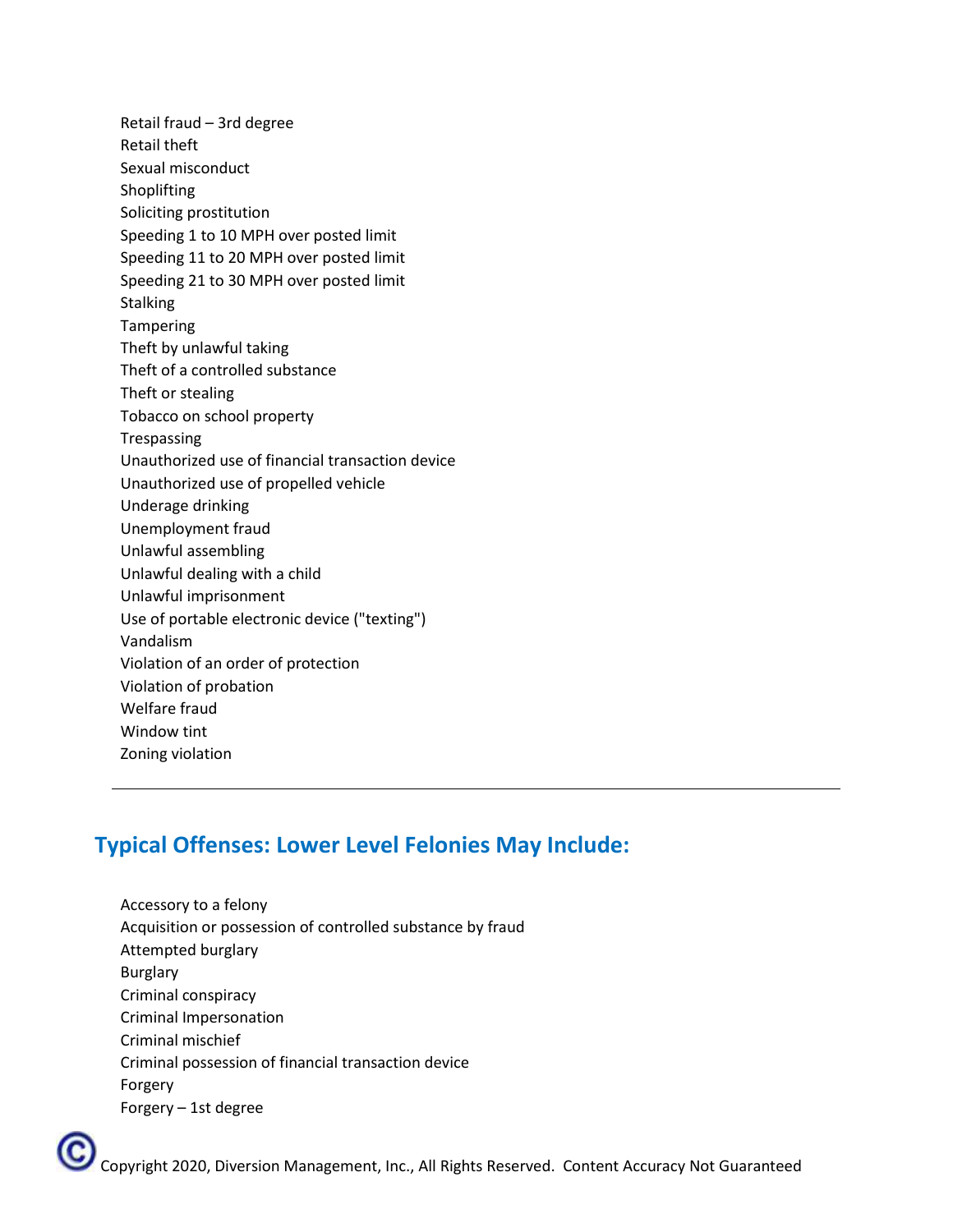Retail fraud – 3rd degree Retail theft Sexual misconduct Shoplifting Soliciting prostitution Speeding 1 to 10 MPH over posted limit Speeding 11 to 20 MPH over posted limit Speeding 21 to 30 MPH over posted limit **Stalking** Tampering Theft by unlawful taking Theft of a controlled substance Theft or stealing Tobacco on school property Trespassing Unauthorized use of financial transaction device Unauthorized use of propelled vehicle Underage drinking Unemployment fraud Unlawful assembling Unlawful dealing with a child Unlawful imprisonment Use of portable electronic device ("texting") Vandalism Violation of an order of protection Violation of probation Welfare fraud Window tint Zoning violation

# **Typical Offenses: Lower Level Felonies May Include:**

Accessory to a felony Acquisition or possession of controlled substance by fraud Attempted burglary Burglary Criminal conspiracy Criminal Impersonation Criminal mischief Criminal possession of financial transaction device Forgery Forgery – 1st degree